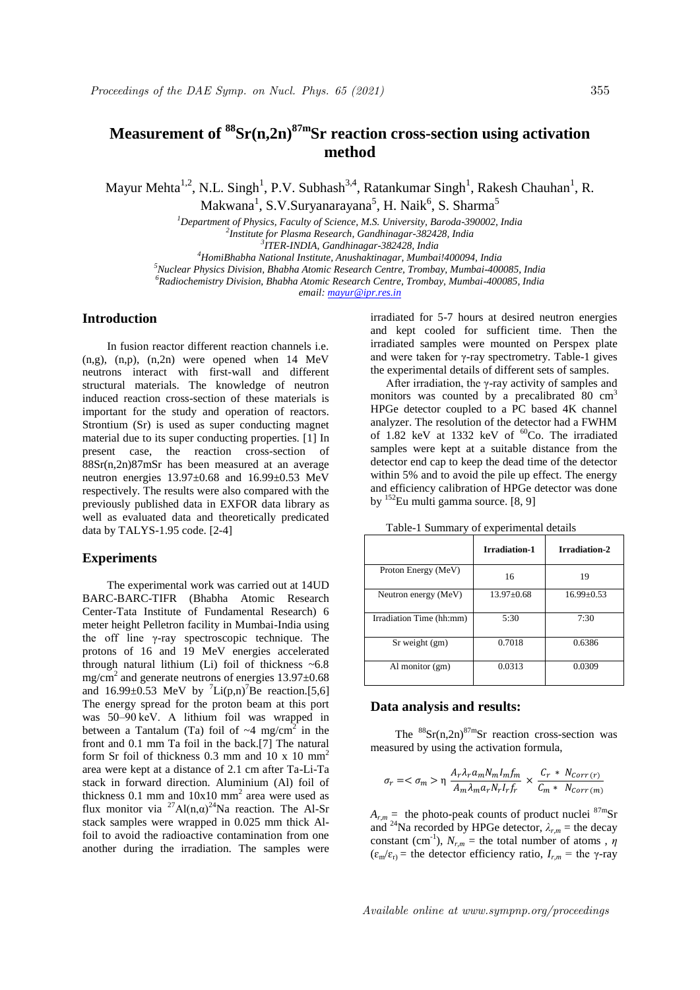# **Measurement of <sup>88</sup>Sr(n,2n)87mSr reaction cross-section using activation method**

Mayur Mehta<sup>1,2</sup>, N.L. Singh<sup>1</sup>, P.V. Subhash<sup>3,4</sup>, Ratankumar Singh<sup>1</sup>, Rakesh Chauhan<sup>1</sup>, R. Makwana<sup>1</sup>, S.V.Suryanarayana<sup>5</sup>, H. Naik<sup>6</sup>, S. Sharma<sup>5</sup>

> *<sup>1</sup>Department of Physics, Faculty of Science, M.S. University, Baroda-390002, India 2 Institute for Plasma Research, Gandhinagar-382428, India*

*3 ITER-INDIA, Gandhinagar-382428, India*

*<sup>4</sup>HomiBhabha National Institute, Anushaktinagar, Mumbai!400094, India*

*<sup>5</sup>Nuclear Physics Division, Bhabha Atomic Research Centre, Trombay, Mumbai-400085, India <sup>6</sup>Radiochemistry Division, Bhabha Atomic Research Centre, Trombay, Mumbai-400085, India*

*email: mayur@ipr.res.in*

## **Introduction**

In fusion reactor different reaction channels i.e.  $(n,g)$ ,  $(n,p)$ ,  $(n,2n)$  were opened when 14 MeV neutrons interact with first-wall and different structural materials. The knowledge of neutron induced reaction cross-section of these materials is important for the study and operation of reactors. Strontium (Sr) is used as super conducting magnet material due to its super conducting properties. [1] In present case, the reaction cross-section of 88Sr(n,2n)87mSr has been measured at an average neutron energies 13.97±0.68 and 16.99±0.53 MeV respectively. The results were also compared with the previously published data in EXFOR data library as well as evaluated data and theoretically predicated data by TALYS-1.95 code. [2-4]

### **Experiments**

The experimental work was carried out at 14UD BARC-BARC-TIFR (Bhabha Atomic Research Center-Tata Institute of Fundamental Research) 6 meter height Pelletron facility in Mumbai-India using the off line γ-ray spectroscopic technique. The protons of 16 and 19 MeV energies accelerated through natural lithium (Li) foil of thickness ~6.8 mg/cm<sup>2</sup> and generate neutrons of energies  $13.97 \pm 0.68$ and  $16.99 \pm 0.53$  MeV by  $\text{Li}(p,n)^7$ Be reaction.[5,6] The energy spread for the proton beam at this port was 50–90 keV. A lithium foil was wrapped in between a Tantalum (Ta) foil of  $\sim$ 4 mg/cm<sup>2</sup> in the front and 0.1 mm Ta foil in the back.[7] The natural form Sr foil of thickness  $0.3 \text{ mm}$  and  $10 \text{ x } 10 \text{ mm}^2$ area were kept at a distance of 2.1 cm after Ta-Li-Ta stack in forward direction. Aluminium (Al) foil of thickness 0.1 mm and  $10x10$  mm<sup>2</sup> area were used as flux monitor via <sup>27</sup>Al(n,α)<sup>24</sup>Na reaction. The Al-Sr stack samples were wrapped in 0.025 mm thick Alfoil to avoid the radioactive contamination from one another during the irradiation. The samples were

irradiated for 5-7 hours at desired neutron energies and kept cooled for sufficient time. Then the irradiated samples were mounted on Perspex plate and were taken for γ-ray spectrometry. Table-1 gives the experimental details of different sets of samples.

After irradiation, the γ-ray activity of samples and monitors was counted by a precalibrated 80  $cm<sup>3</sup>$ HPGe detector coupled to a PC based 4K channel analyzer. The resolution of the detector had a FWHM of 1.82 keV at 1332 keV of  ${}^{60}$ Co. The irradiated samples were kept at a suitable distance from the detector end cap to keep the dead time of the detector within 5% and to avoid the pile up effect. The energy and efficiency calibration of HPGe detector was done by <sup>152</sup>Eu multi gamma source. [8, 9]

|  | Table-1 Summary of experimental details |  |  |  |  |
|--|-----------------------------------------|--|--|--|--|
|--|-----------------------------------------|--|--|--|--|

|                          | <b>Irradiation-1</b> | Irradiation-2  |
|--------------------------|----------------------|----------------|
| Proton Energy (MeV)      | 16                   | 19             |
| Neutron energy (MeV)     | $13.97 + 0.68$       | $16.99 + 0.53$ |
| Irradiation Time (hh:mm) | 5:30                 | 7:30           |
| Sr weight (gm)           | 0.7018               | 0.6386         |
| Al monitor (gm)          | 0.0313               | 0.0309         |

# **Data analysis and results:**

The  ${}^{88}Sr(n,2n){}^{87m}Sr$  reaction cross-section was measured by using the activation formula,

$$
\sigma_r=<\sigma_m>\eta\ {A_r\lambda_r a_m N_m I_m f_m\over A_m\lambda_m a_r N_r I_r f_r}\times {C_r\;* \;N_{Corr\;(r)\over C_m\;* \;\;N_{Corr\;(m)}}
$$

 $A_{r,m}$  = the photo-peak counts of product nuclei  ${}^{87m}$ Sr and <sup>24</sup>Na recorded by HPGe detector,  $\lambda_{rm} =$  the decay constant (cm<sup>-1</sup>),  $N_{r,m}$  = the total number of atoms,  $\eta$  $(\varepsilon_m/\varepsilon_r)$  = the detector efficiency ratio,  $I_{r,m}$  = the γ-ray